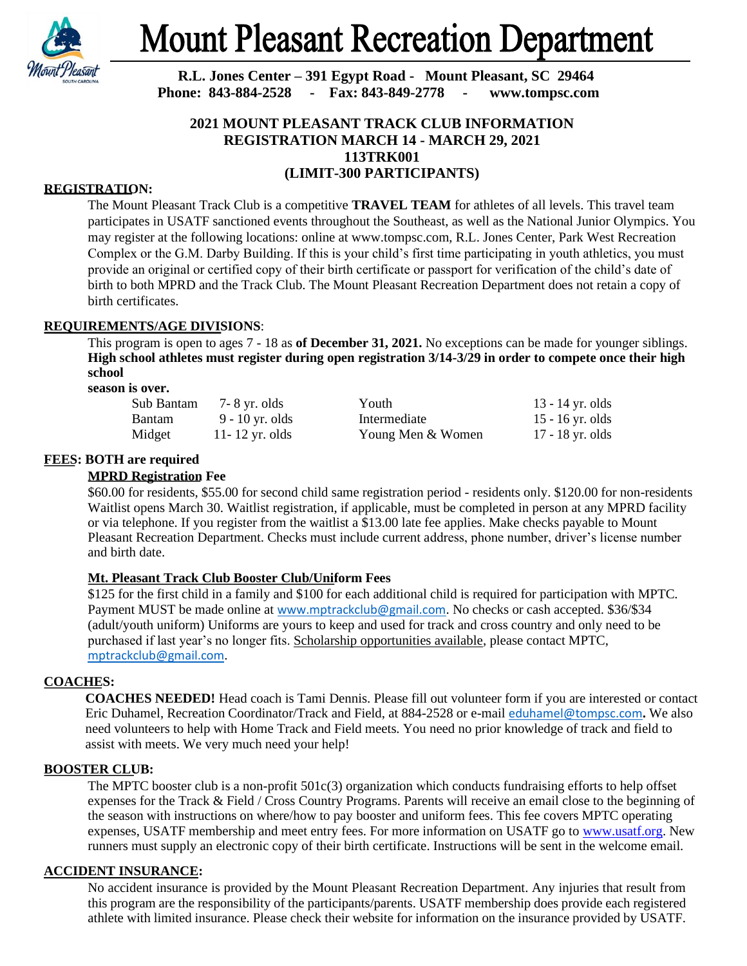

# **Mount Pleasant Recreation Department**

**R.L. Jones Center – 391 Egypt Road - Mount Pleasant, SC 29464 Phone: 843-884-2528 - Fax: 843-849-2778 - www.tompsc.com**

# **2021 MOUNT PLEASANT TRACK CLUB INFORMATION REGISTRATION MARCH 14 - MARCH 29, 2021 113TRK001 (LIMIT-300 PARTICIPANTS)**

# **REGISTRATION:**

The Mount Pleasant Track Club is a competitive **TRAVEL TEAM** for athletes of all levels. This travel team participates in USATF sanctioned events throughout the Southeast, as well as the National Junior Olympics. You may register at the following locations: online at www.tompsc.com, R.L. Jones Center, Park West Recreation Complex or the G.M. Darby Building. If this is your child's first time participating in youth athletics, you must provide an original or certified copy of their birth certificate or passport for verification of the child's date of birth to both MPRD and the Track Club. The Mount Pleasant Recreation Department does not retain a copy of birth certificates.

# **REQUIREMENTS/AGE DIVISIONS**:

This program is open to ages 7 - 18 as **of December 31, 2021.** No exceptions can be made for younger siblings. **High school athletes must register during open registration 3/14-3/29 in order to compete once their high school**

### **season is over.**

| Sub Bantam    | 7- 8 yr. olds   | Youth             | 13 - 14 yr. olds |
|---------------|-----------------|-------------------|------------------|
| <b>Bantam</b> | 9 - 10 yr. olds | Intermediate      | 15 - 16 yr. olds |
| Midget        | 11-12 yr. olds  | Young Men & Women | 17 - 18 yr. olds |

# **FEES: BOTH are required**

# **MPRD Registration Fee**

\$60.00 for residents, \$55.00 for second child same registration period - residents only. \$120.00 for non-residents Waitlist opens March 30. Waitlist registration, if applicable, must be completed in person at any MPRD facility or via telephone. If you register from the waitlist a \$13.00 late fee applies. Make checks payable to Mount Pleasant Recreation Department. Checks must include current address, phone number, driver's license number and birth date.

# **Mt. Pleasant Track Club Booster Club/Uniform Fees**

\$125 for the first child in a family and \$100 for each additional child is required for participation with MPTC. Payment MUST be made online at [www.mptrackclub@gmail.com](http://www.mptrackclub@gmail.com). No checks or cash accepted. \$36/\$34 (adult/youth uniform) Uniforms are yours to keep and used for track and cross country and only need to be purchased if last year's no longer fits. Scholarship opportunities available, please contact MPTC, [mptrackclub@gmail.com](mailto:mptrackclub@gmail.com).

# **COACHES:**

**COACHES NEEDED!** Head coach is Tami Dennis. Please fill out volunteer form if you are interested or contact Eric Duhamel, Recreation Coordinator/Track and Field, at 884-2528 or e-mail [eduhamel@tompsc.com](mailto:eduhamel@tompsc.com)**.** We also need volunteers to help with Home Track and Field meets. You need no prior knowledge of track and field to assist with meets. We very much need your help!

# **BOOSTER CLUB:**

The MPTC booster club is a non-profit 501c(3) organization which conducts fundraising efforts to help offset expenses for the Track & Field / Cross Country Programs. Parents will receive an email close to the beginning of the season with instructions on where/how to pay booster and uniform fees. This fee covers MPTC operating expenses, USATF membership and meet entry fees. For more information on USATF go to [www.usatf.org.](http://www.usatf.org/) New runners must supply an electronic copy of their birth certificate. Instructions will be sent in the welcome email.

# **ACCIDENT INSURANCE:**

No accident insurance is provided by the Mount Pleasant Recreation Department. Any injuries that result from this program are the responsibility of the participants/parents. USATF membership does provide each registered athlete with limited insurance. Please check their website for information on the insurance provided by USATF.